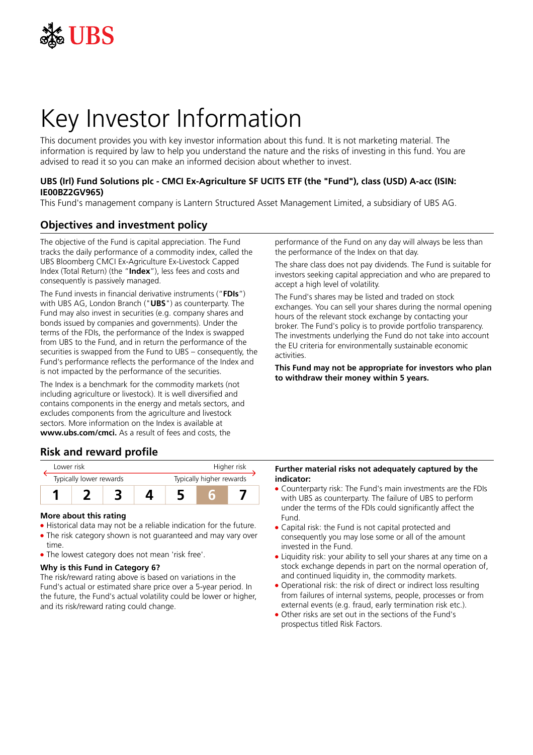

# Key Investor Information

This document provides you with key investor information about this fund. It is not marketing material. The information is required by law to help you understand the nature and the risks of investing in this fund. You are advised to read it so you can make an informed decision about whether to invest.

## **UBS (Irl) Fund Solutions plc - CMCI Ex-Agriculture SF UCITS ETF (the "Fund"), class (USD) A-acc (ISIN: IE00BZ2GV965)**

This Fund's management company is Lantern Structured Asset Management Limited, a subsidiary of UBS AG.

## **Objectives and investment policy**

The objective of the Fund is capital appreciation. The Fund tracks the daily performance of a commodity index, called the UBS Bloomberg CMCI Ex-Agriculture Ex-Livestock Capped Index (Total Return) (the "**Index**"), less fees and costs and consequently is passively managed.

The Fund invests in financial derivative instruments ("**FDIs**") with UBS AG, London Branch ("**UBS**") as counterparty. The Fund may also invest in securities (e.g. company shares and bonds issued by companies and governments). Under the terms of the FDIs, the performance of the Index is swapped from UBS to the Fund, and in return the performance of the securities is swapped from the Fund to UBS – consequently, the Fund's performance reflects the performance of the Index and is not impacted by the performance of the securities.

The Index is a benchmark for the commodity markets (not including agriculture or livestock). It is well diversified and contains components in the energy and metals sectors, and excludes components from the agriculture and livestock sectors. More information on the Index is available at **www.ubs.com/cmci.** As a result of fees and costs, the

performance of the Fund on any day will always be less than the performance of the Index on that day.

The share class does not pay dividends. The Fund is suitable for investors seeking capital appreciation and who are prepared to accept a high level of volatility.

The Fund's shares may be listed and traded on stock exchanges. You can sell your shares during the normal opening hours of the relevant stock exchange by contacting your broker. The Fund's policy is to provide portfolio transparency. The investments underlying the Fund do not take into account the EU criteria for environmentally sustainable economic activities.

**This Fund may not be appropriate for investors who plan to withdraw their money within 5 years.**

## **Risk and reward profile**



#### **More about this rating**

- Historical data may not be a reliable indication for the future. • The risk category shown is not guaranteed and may vary over
- time.
- The lowest category does not mean 'risk free'.

#### **Why is this Fund in Category 6?**

The risk/reward rating above is based on variations in the Fund's actual or estimated share price over a 5-year period. In the future, the Fund's actual volatility could be lower or higher, and its risk/reward rating could change.

#### **Further material risks not adequately captured by the indicator:**

- Counterparty risk: The Fund's main investments are the FDIs with UBS as counterparty. The failure of UBS to perform under the terms of the FDIs could significantly affect the Fund.
- Capital risk: the Fund is not capital protected and consequently you may lose some or all of the amount invested in the Fund.
- Liquidity risk: your ability to sell your shares at any time on a stock exchange depends in part on the normal operation of, and continued liquidity in, the commodity markets.
- Operational risk: the risk of direct or indirect loss resulting from failures of internal systems, people, processes or from external events (e.g. fraud, early termination risk etc.).
- 5 Other risks are set out in the sections of the Fund's prospectus titled Risk Factors.